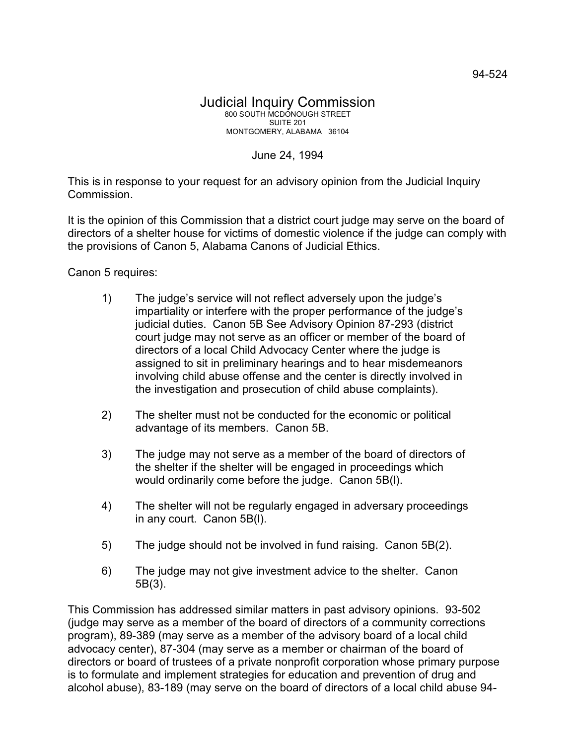## June 24, 1994

This is in response to your request for an advisory opinion from the Judicial Inquiry Commission.

It is the opinion of this Commission that a district court judge may serve on the board of directors of a shelter house for victims of domestic violence if the judge can comply with the provisions of Canon 5, Alabama Canons of Judicial Ethics.

Canon 5 requires:

- 1) The judge's service will not reflect adversely upon the judge's impartiality or interfere with the proper performance of the judge's judicial duties. Canon 5B See Advisory Opinion 87-293 (district court judge may not serve as an officer or member of the board of directors of a local Child Advocacy Center where the judge is assigned to sit in preliminary hearings and to hear misdemeanors involving child abuse offense and the center is directly involved in the investigation and prosecution of child abuse complaints).
- 2) The shelter must not be conducted for the economic or political advantage of its members. Canon 5B.
- 3) The judge may not serve as a member of the board of directors of the shelter if the shelter will be engaged in proceedings which would ordinarily come before the judge. Canon 5B(l).
- 4) The shelter will not be regularly engaged in adversary proceedings in any court. Canon 5B(l).
- 5) The judge should not be involved in fund raising. Canon 5B(2).
- 6) The judge may not give investment advice to the shelter. Canon 5B(3).

This Commission has addressed similar matters in past advisory opinions. 93-502 (judge may serve as a member of the board of directors of a community corrections program), 89-389 (may serve as a member of the advisory board of a local child advocacy center), 87-304 (may serve as a member or chairman of the board of directors or board of trustees of a private nonprofit corporation whose primary purpose is to formulate and implement strategies for education and prevention of drug and alcohol abuse), 83-189 (may serve on the board of directors of a local child abuse 94